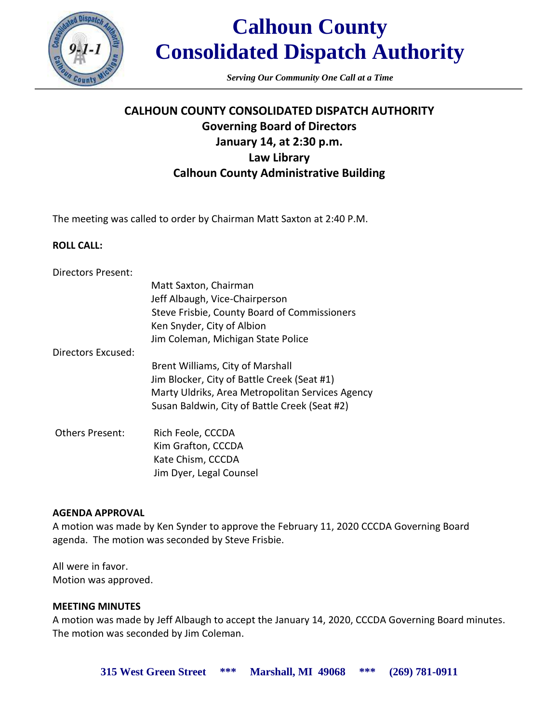

# **Calhoun County Consolidated Dispatch Authority**

*Serving Our Community One Call at a Time*

# **CALHOUN COUNTY CONSOLIDATED DISPATCH AUTHORITY Governing Board of Directors January 14, at 2:30 p.m. Law Library Calhoun County Administrative Building**

The meeting was called to order by Chairman Matt Saxton at 2:40 P.M.

# **ROLL CALL:**

| Directors Present:     |                                                  |
|------------------------|--------------------------------------------------|
|                        | Matt Saxton, Chairman                            |
|                        | Jeff Albaugh, Vice-Chairperson                   |
|                        | Steve Frisbie, County Board of Commissioners     |
|                        | Ken Snyder, City of Albion                       |
|                        | Jim Coleman, Michigan State Police               |
| Directors Excused:     |                                                  |
|                        | Brent Williams, City of Marshall                 |
|                        | Jim Blocker, City of Battle Creek (Seat #1)      |
|                        | Marty Uldriks, Area Metropolitan Services Agency |
|                        | Susan Baldwin, City of Battle Creek (Seat #2)    |
| <b>Others Present:</b> | Rich Feole, CCCDA                                |
|                        | Kim Grafton, CCCDA                               |
|                        | Kate Chism, CCCDA                                |
|                        | Jim Dyer, Legal Counsel                          |

### **AGENDA APPROVAL**

A motion was made by Ken Synder to approve the February 11, 2020 CCCDA Governing Board agenda. The motion was seconded by Steve Frisbie.

All were in favor. Motion was approved.

### **MEETING MINUTES**

A motion was made by Jeff Albaugh to accept the January 14, 2020, CCCDA Governing Board minutes. The motion was seconded by Jim Coleman.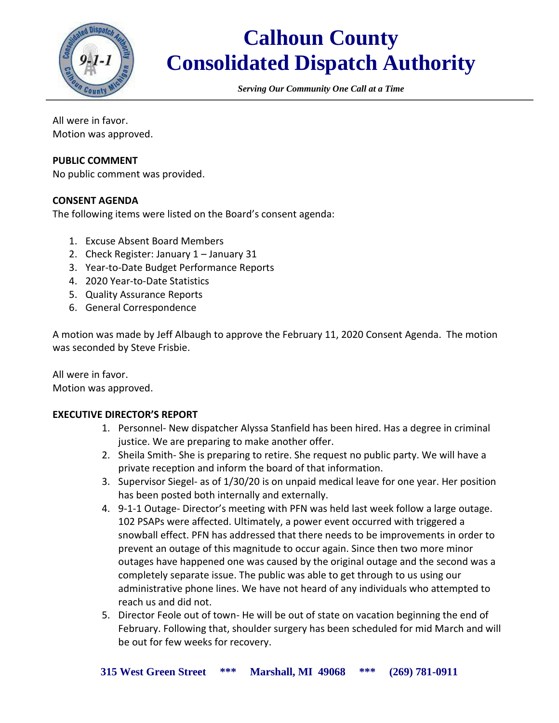

# **Calhoun County Consolidated Dispatch Authority**

*Serving Our Community One Call at a Time*

All were in favor. Motion was approved.

# **PUBLIC COMMENT**

No public comment was provided.

# **CONSENT AGENDA**

The following items were listed on the Board's consent agenda:

- 1. Excuse Absent Board Members
- 2. Check Register: January 1 January 31
- 3. Year-to-Date Budget Performance Reports
- 4. 2020 Year-to-Date Statistics
- 5. Quality Assurance Reports
- 6. General Correspondence

A motion was made by Jeff Albaugh to approve the February 11, 2020 Consent Agenda. The motion was seconded by Steve Frisbie.

All were in favor. Motion was approved.

# **EXECUTIVE DIRECTOR'S REPORT**

- 1. Personnel- New dispatcher Alyssa Stanfield has been hired. Has a degree in criminal justice. We are preparing to make another offer.
- 2. Sheila Smith- She is preparing to retire. She request no public party. We will have a private reception and inform the board of that information.
- 3. Supervisor Siegel- as of 1/30/20 is on unpaid medical leave for one year. Her position has been posted both internally and externally.
- 4. 9-1-1 Outage- Director's meeting with PFN was held last week follow a large outage. 102 PSAPs were affected. Ultimately, a power event occurred with triggered a snowball effect. PFN has addressed that there needs to be improvements in order to prevent an outage of this magnitude to occur again. Since then two more minor outages have happened one was caused by the original outage and the second was a completely separate issue. The public was able to get through to us using our administrative phone lines. We have not heard of any individuals who attempted to reach us and did not.
- 5. Director Feole out of town- He will be out of state on vacation beginning the end of February. Following that, shoulder surgery has been scheduled for mid March and will be out for few weeks for recovery.